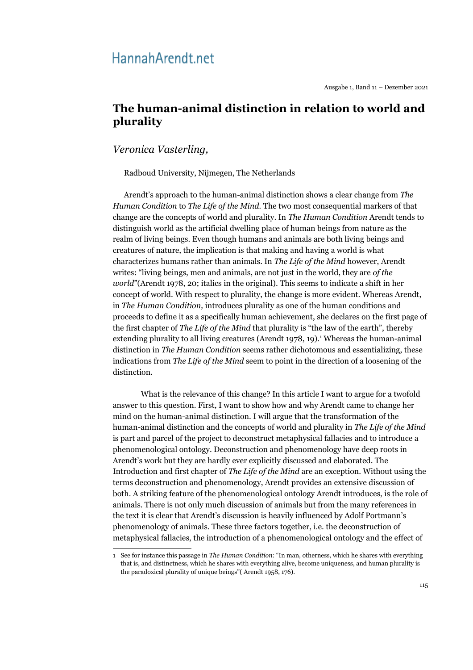# Hannah Arendt.net

## **The human-animal distinction in relation to world and plurality**

*Veronica Vasterling,* 

Radboud University, Nijmegen, The Netherlands

Arendt's approach to the human-animal distinction shows a clear change from *The Human Condition* to *The Life of the Mind.* The two most consequential markers of that change are the concepts of world and plurality. In *The Human Condition* Arendt tends to distinguish world as the artificial dwelling place of human beings from nature as the realm of living beings. Even though humans and animals are both living beings and creatures of nature, the implication is that making and having a world is what characterizes humans rather than animals. In *The Life of the Mind* however, Arendt writes: "living beings, men and animals, are not just in the world, they are *of the world*"(Arendt 1978, 20; italics in the original). This seems to indicate a shift in her concept of world. With respect to plurality, the change is more evident. Whereas Arendt, in *The Human Condition,* introduces plurality as one of the human conditions and proceeds to define it as a specifically human achievement, she declares on the first page of the first chapter of *The Life of the Mind* that plurality is "the law of the earth", thereby extending plurality to all living creatures (Arendt [1](#page-0-0)978, 19).<sup>1</sup> Whereas the human-animal distinction in *The Human Condition* seems rather dichotomous and essentializing, these indications from *The Life of the Mind* seem to point in the direction of a loosening of the distinction.

What is the relevance of this change? In this article I want to argue for a twofold answer to this question. First, I want to show how and why Arendt came to change her mind on the human-animal distinction. I will argue that the transformation of the human-animal distinction and the concepts of world and plurality in *The Life of the Mind* is part and parcel of the project to deconstruct metaphysical fallacies and to introduce a phenomenological ontology. Deconstruction and phenomenology have deep roots in Arendt's work but they are hardly ever explicitly discussed and elaborated. The Introduction and first chapter of *The Life of the Mind* are an exception. Without using the terms deconstruction and phenomenology, Arendt provides an extensive discussion of both. A striking feature of the phenomenological ontology Arendt introduces, is the role of animals. There is not only much discussion of animals but from the many references in the text it is clear that Arendt's discussion is heavily influenced by Adolf Portmann's phenomenology of animals. These three factors together, i.e. the deconstruction of metaphysical fallacies, the introduction of a phenomenological ontology and the effect of

<span id="page-0-0"></span><sup>1</sup> See for instance this passage in *The Human Condition*: "In man, otherness, which he shares with everything that is, and distinctness, which he shares with everything alive, become uniqueness, and human plurality is the paradoxical plurality of unique beings"( Arendt 1958, 176).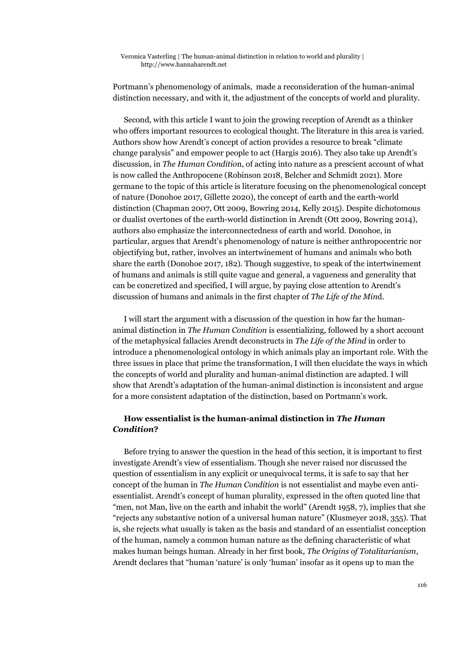Portmann's phenomenology of animals, made a reconsideration of the human-animal distinction necessary, and with it, the adjustment of the concepts of world and plurality.

Second, with this article I want to join the growing reception of Arendt as a thinker who offers important resources to ecological thought. The literature in this area is varied. Authors show how Arendt's concept of action provides a resource to break "climate change paralysis" and empower people to act (Hargis 2016). They also take up Arendt's discussion, in *The Human Conditio*n, of acting into nature as a prescient account of what is now called the Anthropocene (Robinson 2018, Belcher and Schmidt 2021). More germane to the topic of this article is literature focusing on the phenomenological concept of nature (Donohoe 2017, Gillette 2020), the concept of earth and the earth-world distinction (Chapman 2007, Ott 2009, Bowring 2014, Kelly 2015). Despite dichotomous or dualist overtones of the earth-world distinction in Arendt (Ott 2009, Bowring 2014), authors also emphasize the interconnectedness of earth and world. Donohoe, in particular, argues that Arendt's phenomenology of nature is neither anthropocentric nor objectifying but, rather, involves an intertwinement of humans and animals who both share the earth (Donohoe 2017, 182). Though suggestive, to speak of the intertwinement of humans and animals is still quite vague and general, a vagueness and generality that can be concretized and specified, I will argue, by paying close attention to Arendt's discussion of humans and animals in the first chapter of *The Life of the Min*d.

I will start the argument with a discussion of the question in how far the humananimal distinction in *The Human Condition* is essentializing, followed by a short account of the metaphysical fallacies Arendt deconstructs in *The Life of the Mind* in order to introduce a phenomenological ontology in which animals play an important role. With the three issues in place that prime the transformation, I will then elucidate the ways in which the concepts of world and plurality and human-animal distinction are adapted. I will show that Arendt's adaptation of the human-animal distinction is inconsistent and argue for a more consistent adaptation of the distinction, based on Portmann's work.

## **How essentialist is the human-animal distinction in** *The Human Condition***?**

Before trying to answer the question in the head of this section, it is important to first investigate Arendt's view of essentialism. Though she never raised nor discussed the question of essentialism in any explicit or unequivocal terms, it is safe to say that her concept of the human in *The Human Condition* is not essentialist and maybe even antiessentialist. Arendt's concept of human plurality, expressed in the often quoted line that "men, not Man, live on the earth and inhabit the world" (Arendt 1958, 7), implies that she "rejects any substantive notion of a universal human nature" (Klusmeyer 2018, 355). That is, she rejects what usually is taken as the basis and standard of an essentialist conception of the human, namely a common human nature as the defining characteristic of what makes human beings human. Already in her first book, *The Origins of Totalitarianism*, Arendt declares that "human 'nature' is only 'human' insofar as it opens up to man the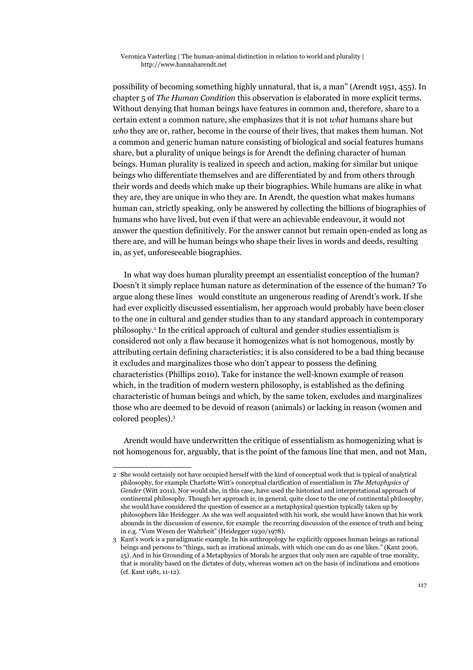possibility of becoming something highly unnatural, that is, a man" (Arendt 1951, 455). In chapter 5 of *The Human Condition* this observation is elaborated in more explicit terms. Without denying that human beings have features in common and, therefore, share to a certain extent a common nature, she emphasizes that it is not *what* humans share but *who* they are or, rather, become in the course of their lives, that makes them human. Not a common and generic human nature consisting of biological and social features humans share, but a plurality of unique beings is for Arendt the defining character of human beings. Human plurality is realized in speech and action, making for similar but unique beings who differentiate themselves and are differentiated by and from others through their words and deeds which make up their biographies. While humans are alike in what they are, they are unique in who they are. In Arendt, the question what makes humans human can, strictly speaking, only be answered by collecting the billions of biographies of humans who have lived, but even if that were an achievable endeavour, it would not answer the question definitively. For the answer cannot but remain open-ended as long as there are, and will be human beings who shape their lives in words and deeds, resulting in, as yet, unforeseeable biographies.

In what way does human plurality preempt an essentialist conception of the human? Doesn't it simply replace human nature as determination of the essence of the human? To argue along these lines would constitute an ungenerous reading of Arendt's work. If she had ever explicitly discussed essentialism, her approach would probably have been closer to the one in cultural and gender studies than to any standard approach in contemporary philosophy.<sup>[2](#page-2-0)</sup> In the critical approach of cultural and gender studies essentialism is considered not only a flaw because it homogenizes what is not homogenous, mostly by attributing certain defining characteristics; it is also considered to be a bad thing because it excludes and marginalizes those who don't appear to possess the defining characteristics (Phillips 2010). Take for instance the well-known example of reason which, in the tradition of modern western philosophy, is established as the defining characteristic of human beings and which, by the same token, excludes and marginalizes those who are deemed to be devoid of reason (animals) or lacking in reason (women and colored peoples).[3](#page-2-1)

Arendt would have underwritten the critique of essentialism as homogenizing what is not homogenous for, arguably, that is the point of the famous line that men, and not Man,

<span id="page-2-0"></span><sup>2</sup> She would certainly not have occupied herself with the kind of conceptual work that is typical of analytical philosophy, for example Charlotte Witt's conceptual clarification of essentialism in *The Metaphysics of Gender* (Witt 2011). Nor would she, in this case, have used the historical and interpretational approach of continental philosophy. Though her approach is, in general, quite close to the one of continental philosophy, she would have considered the question of essence as a metaphysical question typically taken up by philosophers like Heidegger. As she was well acquainted with his work, she would have known that his work abounds in the discussion of essence, for example the recurring discussion of the essence of truth and being in e.g. "Vom Wesen der Wahrheit" (Heidegger 1930/1978).

<span id="page-2-1"></span><sup>3</sup> Kant's work is a paradigmatic example. In his anthropology he explicitly opposes human beings as rational beings and persons to "things, such as irrational animals, with which one can do as one likes." (Kant 2006, 15). And in his Grounding of a Metaphysics of Morals he argues that only men are capable of true morality, that is morality based on the dictates of duty, whereas women act on the basis of inclinations and emotions (cf. Kant 1981, 11-12).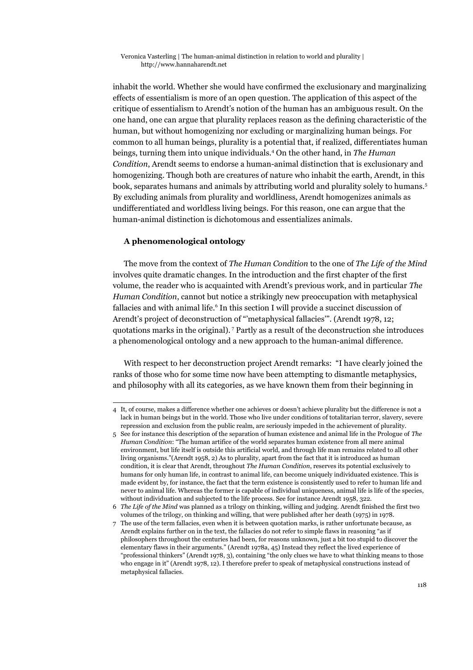inhabit the world. Whether she would have confirmed the exclusionary and marginalizing effects of essentialism is more of an open question. The application of this aspect of the critique of essentialism to Arendt's notion of the human has an ambiguous result. On the one hand, one can argue that plurality replaces reason as the defining characteristic of the human, but without homogenizing nor excluding or marginalizing human beings. For common to all human beings, plurality is a potential that, if realized, differentiates human beings, turning them into unique individuals.[4](#page-3-0) On the other hand, in *The Human Condition*, Arendt seems to endorse a human-animal distinction that is exclusionary and homogenizing. Though both are creatures of nature who inhabit the earth, Arendt, in this book, separates humans and animals by attributing world and plurality solely to humans.[5](#page-3-1) By excluding animals from plurality and worldliness, Arendt homogenizes animals as undifferentiated and worldless living beings. For this reason, one can argue that the human-animal distinction is dichotomous and essentializes animals.

## **A phenomenological ontology**

The move from the context of *The Human Condition* to the one of *The Life of the Mind* involves quite dramatic changes. In the introduction and the first chapter of the first volume, the reader who is acquainted with Arendt's previous work, and in particular *The Human Condition*, cannot but notice a strikingly new preoccupation with metaphysical fallacies and with animal life.<sup>[6](#page-3-2)</sup> In this section I will provide a succinct discussion of Arendt's project of deconstruction of "'metaphysical fallacies'". (Arendt 1978, 12; quotations marks in the original). [7](#page-3-3) Partly as a result of the deconstruction she introduces a phenomenological ontology and a new approach to the human-animal difference.

With respect to her deconstruction project Arendt remarks: "I have clearly joined the ranks of those who for some time now have been attempting to dismantle metaphysics, and philosophy with all its categories, as we have known them from their beginning in

<span id="page-3-0"></span><sup>4</sup> It, of course, makes a difference whether one achieves or doesn't achieve plurality but the difference is not a lack in human beings but in the world. Those who live under conditions of totalitarian terror, slavery, severe repression and exclusion from the public realm, are seriously impeded in the achievement of plurality.

<span id="page-3-1"></span><sup>5</sup> See for instance this description of the separation of human existence and animal life in the Prologue of *The Human Condition*: "The human artifice of the world separates human existence from all mere animal environment, but life itself is outside this artificial world, and through life man remains related to all other living organisms."(Arendt 1958, 2) As to plurality, apart from the fact that it is introduced as human condition, it is clear that Arendt, throughout *The Human Condition*, reserves its potential exclusively to humans for only human life, in contrast to animal life, can become uniquely individuated existence. This is made evident by, for instance, the fact that the term existence is consistently used to refer to human life and never to animal life. Whereas the former is capable of individual uniqueness, animal life is life of the species, without individuation and subjected to the life process. See for instance Arendt 1958, 322.

<span id="page-3-2"></span><sup>6</sup> *The Life of the Mind* was planned as a trilogy on thinking, willing and judging. Arendt finished the first two volumes of the trilogy, on thinking and willing, that were published after her death (1975) in 1978.

<span id="page-3-3"></span><sup>7</sup> The use of the term fallacies, even when it is between quotation marks, is rather unfortunate because, as Arendt explains further on in the text, the fallacies do not refer to simple flaws in reasoning "as if philosophers throughout the centuries had been, for reasons unknown, just a bit too stupid to discover the elementary flaws in their arguments." (Arendt 1978a, 45) Instead they reflect the lived experience of "professional thinkers" (Arendt 1978, 3), containing "the only clues we have to what thinking means to those who engage in it" (Arendt 1978, 12). I therefore prefer to speak of metaphysical constructions instead of metaphysical fallacies.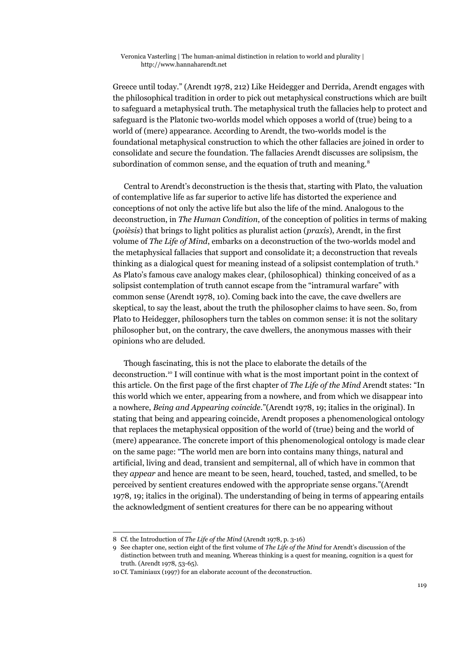Greece until today." (Arendt 1978, 212) Like Heidegger and Derrida, Arendt engages with the philosophical tradition in order to pick out metaphysical constructions which are built to safeguard a metaphysical truth. The metaphysical truth the fallacies help to protect and safeguard is the Platonic two-worlds model which opposes a world of (true) being to a world of (mere) appearance. According to Arendt, the two-worlds model is the foundational metaphysical construction to which the other fallacies are joined in order to consolidate and secure the foundation. The fallacies Arendt discusses are solipsism, the subordination of common sense, and the equation of truth and meaning.<sup>[8](#page-4-0)</sup>

Central to Arendt's deconstruction is the thesis that, starting with Plato, the valuation of contemplative life as far superior to active life has distorted the experience and conceptions of not only the active life but also the life of the mind. Analogous to the deconstruction, in *The Human Condition*, of the conception of politics in terms of making (*poièsis*) that brings to light politics as pluralist action (*praxis*), Arendt, in the first volume of *The Life of Mind*, embarks on a deconstruction of the two-worlds model and the metaphysical fallacies that support and consolidate it; a deconstruction that reveals thinking as a dialogical quest for meaning instead of a solipsist contemplation of truth.[9](#page-4-1) As Plato's famous cave analogy makes clear, (philosophical) thinking conceived of as a solipsist contemplation of truth cannot escape from the "intramural warfare" with common sense (Arendt 1978, 10). Coming back into the cave, the cave dwellers are skeptical, to say the least, about the truth the philosopher claims to have seen. So, from Plato to Heidegger, philosophers turn the tables on common sense: it is not the solitary philosopher but, on the contrary, the cave dwellers, the anonymous masses with their opinions who are deluded.

Though fascinating, this is not the place to elaborate the details of the deconstruction.[10](#page-4-2) I will continue with what is the most important point in the context of this article. On the first page of the first chapter of *The Life of the Mind* Arendt states: "In this world which we enter, appearing from a nowhere, and from which we disappear into a nowhere, *Being and Appearing coincide*."(Arendt 1978, 19; italics in the original). In stating that being and appearing coincide, Arendt proposes a phenomenological ontology that replaces the metaphysical opposition of the world of (true) being and the world of (mere) appearance. The concrete import of this phenomenological ontology is made clear on the same page: "The world men are born into contains many things, natural and artificial, living and dead, transient and sempiternal, all of which have in common that they *appear* and hence are meant to be seen, heard, touched, tasted, and smelled, to be perceived by sentient creatures endowed with the appropriate sense organs."(Arendt 1978, 19; italics in the original). The understanding of being in terms of appearing entails the acknowledgment of sentient creatures for there can be no appearing without

<span id="page-4-0"></span><sup>8</sup> Cf. the Introduction of *The Life of the Mind* (Arendt 1978, p. 3-16)

<span id="page-4-1"></span><sup>9</sup> See chapter one, section eight of the first volume of *The Life of the Mind* for Arendt's discussion of the distinction between truth and meaning. Whereas thinking is a quest for meaning, cognition is a quest for truth. (Arendt 1978, 53-65).

<span id="page-4-2"></span><sup>10</sup> Cf. Taminiaux (1997) for an elaborate account of the deconstruction.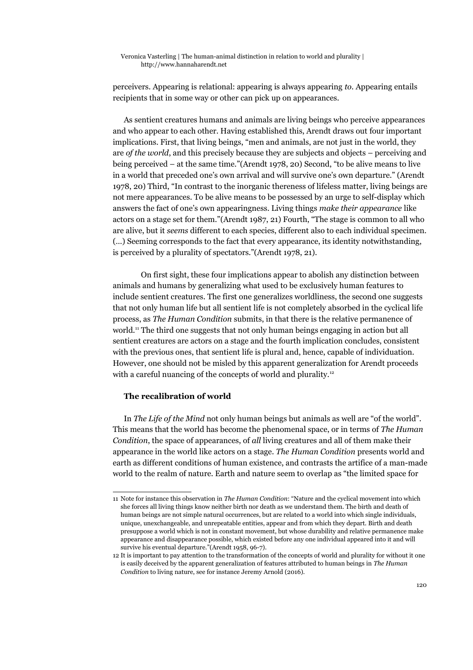perceivers. Appearing is relational: appearing is always appearing *to*. Appearing entails recipients that in some way or other can pick up on appearances.

As sentient creatures humans and animals are living beings who perceive appearances and who appear to each other. Having established this, Arendt draws out four important implications. First, that living beings, "men and animals, are not just in the world, they are *of the world*, and this precisely because they are subjects and objects – perceiving and being perceived – at the same time."(Arendt 1978, 20) Second, "to be alive means to live in a world that preceded one's own arrival and will survive one's own departure." (Arendt 1978, 20) Third, "In contrast to the inorganic thereness of lifeless matter, living beings are not mere appearances. To be alive means to be possessed by an urge to self-display which answers the fact of one's own appearingness. Living things *make their appearance* like actors on a stage set for them."(Arendt 1987, 21) Fourth, "The stage is common to all who are alive, but it *seems* different to each species, different also to each individual specimen. (…) Seeming corresponds to the fact that every appearance, its identity notwithstanding, is perceived by a plurality of spectators."(Arendt 1978, 21).

On first sight, these four implications appear to abolish any distinction between animals and humans by generalizing what used to be exclusively human features to include sentient creatures. The first one generalizes worldliness, the second one suggests that not only human life but all sentient life is not completely absorbed in the cyclical life process, as *The Human Condition* submits, in that there is the relative permanence of world.[11](#page-5-0) The third one suggests that not only human beings engaging in action but all sentient creatures are actors on a stage and the fourth implication concludes, consistent with the previous ones, that sentient life is plural and, hence, capable of individuation. However, one should not be misled by this apparent generalization for Arendt proceeds with a careful nuancing of the concepts of world and plurality.<sup>[12](#page-5-1)</sup>

## **The recalibration of world**

In *The Life of the Mind* not only human beings but animals as well are "of the world". This means that the world has become the phenomenal space, or in terms of *The Human Condition*, the space of appearances, of *all* living creatures and all of them make their appearance in the world like actors on a stage. *The Human Condition* presents world and earth as different conditions of human existence, and contrasts the artifice of a man-made world to the realm of nature. Earth and nature seem to overlap as "the limited space for

<span id="page-5-0"></span><sup>11</sup> Note for instance this observation in *The Human Condition*: "Nature and the cyclical movement into which she forces all living things know neither birth nor death as we understand them. The birth and death of human beings are not simple natural occurrences, but are related to a world into which single individuals, unique, unexchangeable, and unrepeatable entities, appear and from which they depart. Birth and death presuppose a world which is not in constant movement, but whose durability and relative permanence make appearance and disappearance possible, which existed before any one individual appeared into it and will survive his eventual departure."(Arendt 1958, 96-7).

<span id="page-5-1"></span><sup>12</sup> It is important to pay attention to the transformation of the concepts of world and plurality for without it one is easily deceived by the apparent generalization of features attributed to human beings in *The Human Condition* to living nature, see for instance Jeremy Arnold (2016).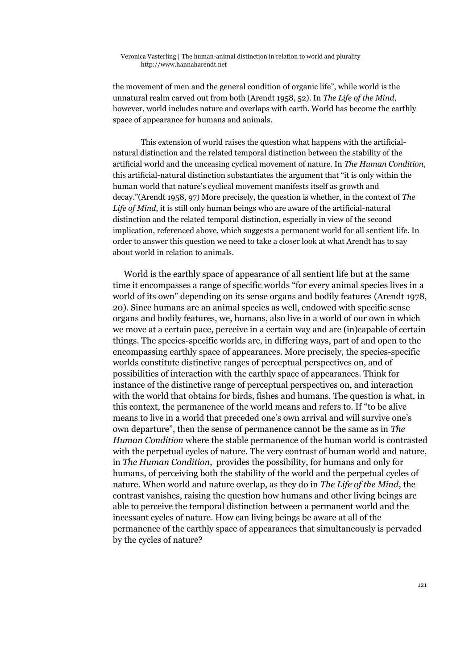the movement of men and the general condition of organic life", while world is the unnatural realm carved out from both (Arendt 1958, 52). In *The Life of the Mind*, however, world includes nature and overlaps with earth. World has become the earthly space of appearance for humans and animals.

This extension of world raises the question what happens with the artificialnatural distinction and the related temporal distinction between the stability of the artificial world and the unceasing cyclical movement of nature. In *The Human Condition*, this artificial-natural distinction substantiates the argument that "it is only within the human world that nature's cyclical movement manifests itself as growth and decay."(Arendt 1958, 97) More precisely, the question is whether, in the context of *The Life of Mind*, it is still only human beings who are aware of the artificial-natural distinction and the related temporal distinction, especially in view of the second implication, referenced above, which suggests a permanent world for all sentient life. In order to answer this question we need to take a closer look at what Arendt has to say about world in relation to animals.

World is the earthly space of appearance of all sentient life but at the same time it encompasses a range of specific worlds "for every animal species lives in a world of its own" depending on its sense organs and bodily features (Arendt 1978, 20). Since humans are an animal species as well, endowed with specific sense organs and bodily features, we, humans, also live in a world of our own in which we move at a certain pace, perceive in a certain way and are (in)capable of certain things. The species-specific worlds are, in differing ways, part of and open to the encompassing earthly space of appearances. More precisely, the species-specific worlds constitute distinctive ranges of perceptual perspectives on, and of possibilities of interaction with the earthly space of appearances. Think for instance of the distinctive range of perceptual perspectives on, and interaction with the world that obtains for birds, fishes and humans. The question is what, in this context, the permanence of the world means and refers to. If "to be alive means to live in a world that preceded one's own arrival and will survive one's own departure", then the sense of permanence cannot be the same as in *The Human Condition* where the stable permanence of the human world is contrasted with the perpetual cycles of nature. The very contrast of human world and nature, in *The Human Condition*, provides the possibility, for humans and only for humans, of perceiving both the stability of the world and the perpetual cycles of nature. When world and nature overlap, as they do in *The Life of the Mind*, the contrast vanishes, raising the question how humans and other living beings are able to perceive the temporal distinction between a permanent world and the incessant cycles of nature. How can living beings be aware at all of the permanence of the earthly space of appearances that simultaneously is pervaded by the cycles of nature?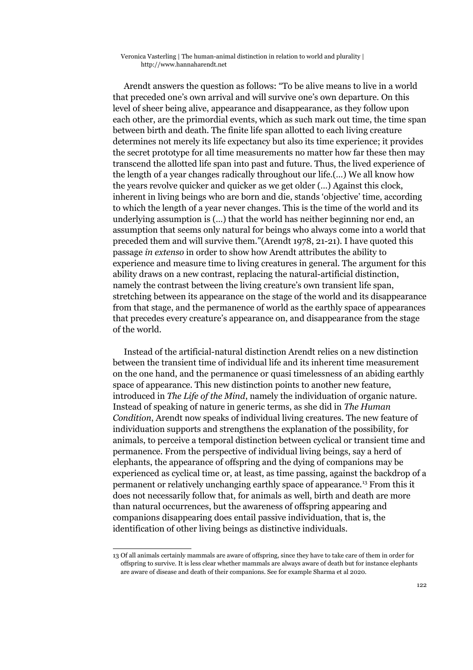Arendt answers the question as follows: "To be alive means to live in a world that preceded one's own arrival and will survive one's own departure. On this level of sheer being alive, appearance and disappearance, as they follow upon each other, are the primordial events, which as such mark out time, the time span between birth and death. The finite life span allotted to each living creature determines not merely its life expectancy but also its time experience; it provides the secret prototype for all time measurements no matter how far these then may transcend the allotted life span into past and future. Thus, the lived experience of the length of a year changes radically throughout our life.(…) We all know how the years revolve quicker and quicker as we get older (…) Against this clock, inherent in living beings who are born and die, stands 'objective' time, according to which the length of a year never changes. This is the time of the world and its underlying assumption is (…) that the world has neither beginning nor end, an assumption that seems only natural for beings who always come into a world that preceded them and will survive them."(Arendt 1978, 21-21). I have quoted this passage *in extenso* in order to show how Arendt attributes the ability to experience and measure time to living creatures in general. The argument for this ability draws on a new contrast, replacing the natural-artificial distinction, namely the contrast between the living creature's own transient life span, stretching between its appearance on the stage of the world and its disappearance from that stage, and the permanence of world as the earthly space of appearances that precedes every creature's appearance on, and disappearance from the stage of the world.

Instead of the artificial-natural distinction Arendt relies on a new distinction between the transient time of individual life and its inherent time measurement on the one hand, and the permanence or quasi timelessness of an abiding earthly space of appearance. This new distinction points to another new feature, introduced in *The Life of the Mind*, namely the individuation of organic nature. Instead of speaking of nature in generic terms, as she did in *The Human Condition*, Arendt now speaks of individual living creatures. The new feature of individuation supports and strengthens the explanation of the possibility, for animals, to perceive a temporal distinction between cyclical or transient time and permanence. From the perspective of individual living beings, say a herd of elephants, the appearance of offspring and the dying of companions may be experienced as cyclical time or, at least, as time passing, against the backdrop of a permanent or relatively unchanging earthly space of appearance.[13](#page-7-0) From this it does not necessarily follow that, for animals as well, birth and death are more than natural occurrences, but the awareness of offspring appearing and companions disappearing does entail passive individuation, that is, the identification of other living beings as distinctive individuals.

<span id="page-7-0"></span><sup>13</sup> Of all animals certainly mammals are aware of offspring, since they have to take care of them in order for offspring to survive. It is less clear whether mammals are always aware of death but for instance elephants are aware of disease and death of their companions. See for example Sharma et al 2020.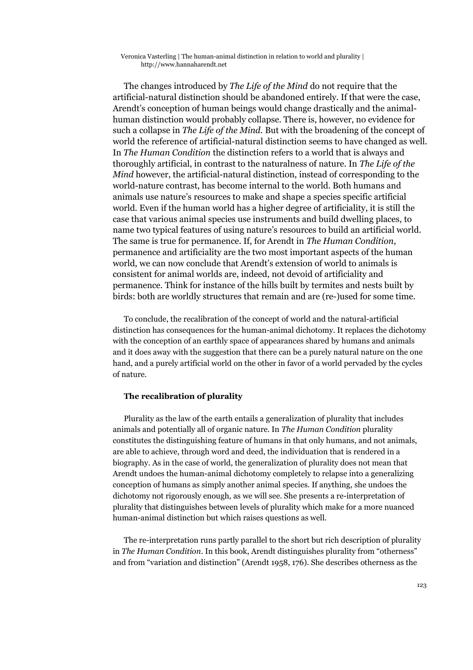The changes introduced by *The Life of the Mind* do not require that the artificial-natural distinction should be abandoned entirely. If that were the case, Arendt's conception of human beings would change drastically and the animalhuman distinction would probably collapse. There is, however, no evidence for such a collapse in *The Life of the Mind.* But with the broadening of the concept of world the reference of artificial-natural distinction seems to have changed as well. In *The Human Condition* the distinction refers to a world that is always and thoroughly artificial, in contrast to the naturalness of nature. In *The Life of the Mind* however, the artificial-natural distinction, instead of corresponding to the world-nature contrast, has become internal to the world. Both humans and animals use nature's resources to make and shape a species specific artificial world. Even if the human world has a higher degree of artificiality, it is still the case that various animal species use instruments and build dwelling places, to name two typical features of using nature's resources to build an artificial world. The same is true for permanence. If, for Arendt in *The Human Condition*, permanence and artificiality are the two most important aspects of the human world, we can now conclude that Arendt's extension of world to animals is consistent for animal worlds are, indeed, not devoid of artificiality and permanence. Think for instance of the hills built by termites and nests built by birds: both are worldly structures that remain and are (re-)used for some time.

To conclude, the recalibration of the concept of world and the natural-artificial distinction has consequences for the human-animal dichotomy. It replaces the dichotomy with the conception of an earthly space of appearances shared by humans and animals and it does away with the suggestion that there can be a purely natural nature on the one hand, and a purely artificial world on the other in favor of a world pervaded by the cycles of nature.

## **The recalibration of plurality**

Plurality as the law of the earth entails a generalization of plurality that includes animals and potentially all of organic nature. In *The Human Condition* plurality constitutes the distinguishing feature of humans in that only humans, and not animals, are able to achieve, through word and deed, the individuation that is rendered in a biography. As in the case of world, the generalization of plurality does not mean that Arendt undoes the human-animal dichotomy completely to relapse into a generalizing conception of humans as simply another animal species. If anything, she undoes the dichotomy not rigorously enough, as we will see. She presents a re-interpretation of plurality that distinguishes between levels of plurality which make for a more nuanced human-animal distinction but which raises questions as well.

The re-interpretation runs partly parallel to the short but rich description of plurality in *The Human Condition*. In this book, Arendt distinguishes plurality from "otherness" and from "variation and distinction" (Arendt 1958, 176). She describes otherness as the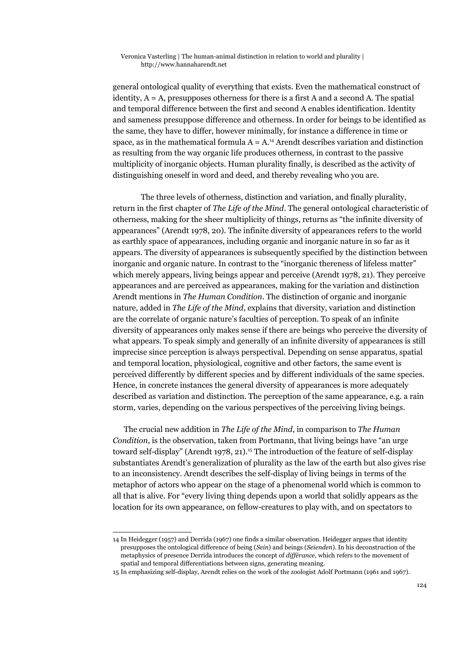general ontological quality of everything that exists. Even the mathematical construct of identity,  $A = A$ , presupposes otherness for there is a first A and a second A. The spatial and temporal difference between the first and second A enables identification. Identity and sameness presuppose difference and otherness. In order for beings to be identified as the same, they have to differ, however minimally, for instance a difference in time or space, as in the mathematical formula  $A = A$ .<sup>[14](#page-9-0)</sup> Arendt describes variation and distinction as resulting from the way organic life produces otherness, in contrast to the passive multiplicity of inorganic objects. Human plurality finally, is described as the activity of distinguishing oneself in word and deed, and thereby revealing who you are.

The three levels of otherness, distinction and variation, and finally plurality, return in the first chapter of *The Life of the Mind*. The general ontological characteristic of otherness, making for the sheer multiplicity of things, returns as "the infinite diversity of appearances" (Arendt 1978, 20). The infinite diversity of appearances refers to the world as earthly space of appearances, including organic and inorganic nature in so far as it appears. The diversity of appearances is subsequently specified by the distinction between inorganic and organic nature. In contrast to the "inorganic thereness of lifeless matter" which merely appears, living beings appear and perceive (Arendt 1978, 21). They perceive appearances and are perceived as appearances, making for the variation and distinction Arendt mentions in *The Human Condition*. The distinction of organic and inorganic nature, added in *The Life of the Mind*, explains that diversity, variation and distinction are the correlate of organic nature's faculties of perception. To speak of an infinite diversity of appearances only makes sense if there are beings who perceive the diversity of what appears. To speak simply and generally of an infinite diversity of appearances is still imprecise since perception is always perspectival. Depending on sense apparatus, spatial and temporal location, physiological, cognitive and other factors, the same event is perceived differently by different species and by different individuals of the same species. Hence, in concrete instances the general diversity of appearances is more adequately described as variation and distinction. The perception of the same appearance, e.g. a rain storm, varies, depending on the various perspectives of the perceiving living beings.

The crucial new addition in *The Life of the Mind*, in comparison to *The Human Condition*, is the observation, taken from Portmann, that living beings have "an urge toward self-display" (Arendt 1978, 21).<sup>[15](#page-9-1)</sup> The introduction of the feature of self-display substantiates Arendt's generalization of plurality as the law of the earth but also gives rise to an inconsistency. Arendt describes the self-display of living beings in terms of the metaphor of actors who appear on the stage of a phenomenal world which is common to all that is alive. For "every living thing depends upon a world that solidly appears as the location for its own appearance, on fellow-creatures to play with, and on spectators to

<span id="page-9-0"></span><sup>14</sup> In Heidegger (1957) and Derrida (1967) one finds a similar observation. Heidegger argues that identity presupposes the ontological difference of being (*Sein*) and beings (*Seienden*). In his deconstruction of the metaphysics of presence Derrida introduces the concept of *différance,* which refers to the movement of spatial and temporal differentiations between signs, generating meaning.

<span id="page-9-1"></span><sup>15</sup> In emphasizing self-display, Arendt relies on the work of the zoologist Adolf Portmann (1961 and 1967).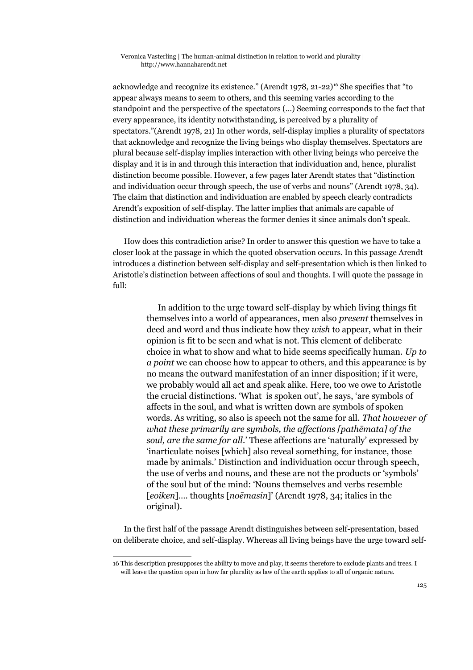acknowledge and recognize its existence." (Arendt 1978,  $21-22$ )<sup>[16](#page-10-0)</sup> She specifies that "to appear always means to seem to others, and this seeming varies according to the standpoint and the perspective of the spectators (…) Seeming corresponds to the fact that every appearance, its identity notwithstanding, is perceived by a plurality of spectators."(Arendt 1978, 21) In other words, self-display implies a plurality of spectators that acknowledge and recognize the living beings who display themselves. Spectators are plural because self-display implies interaction with other living beings who perceive the display and it is in and through this interaction that individuation and, hence, pluralist distinction become possible. However, a few pages later Arendt states that "distinction and individuation occur through speech, the use of verbs and nouns" (Arendt 1978, 34). The claim that distinction and individuation are enabled by speech clearly contradicts Arendt's exposition of self-display. The latter implies that animals are capable of distinction and individuation whereas the former denies it since animals don't speak.

How does this contradiction arise? In order to answer this question we have to take a closer look at the passage in which the quoted observation occurs. In this passage Arendt introduces a distinction between self-display and self-presentation which is then linked to Aristotle's distinction between affections of soul and thoughts. I will quote the passage in full:

> In addition to the urge toward self-display by which living things fit themselves into a world of appearances, men also *present* themselves in deed and word and thus indicate how they *wish* to appear, what in their opinion is fit to be seen and what is not. This element of deliberate choice in what to show and what to hide seems specifically human. *Up to a point* we can choose how to appear to others, and this appearance is by no means the outward manifestation of an inner disposition; if it were, we probably would all act and speak alike. Here, too we owe to Aristotle the crucial distinctions. 'What is spoken out', he says, 'are symbols of affects in the soul, and what is written down are symbols of spoken words. As writing, so also is speech not the same for all. *That however of what these primarily are symbols, the affections [pathēmata] of the soul, are the same for all*.' These affections are 'naturally' expressed by 'inarticulate noises [which] also reveal something, for instance, those made by animals.' Distinction and individuation occur through speech, the use of verbs and nouns, and these are not the products or 'symbols' of the soul but of the mind: 'Nouns themselves and verbs resemble [*eoiken*]…. thoughts [*noēmasin*]' (Arendt 1978, 34; italics in the original).

In the first half of the passage Arendt distinguishes between self-presentation, based on deliberate choice, and self-display. Whereas all living beings have the urge toward self-

<span id="page-10-0"></span><sup>16</sup> This description presupposes the ability to move and play, it seems therefore to exclude plants and trees. I will leave the question open in how far plurality as law of the earth applies to all of organic nature.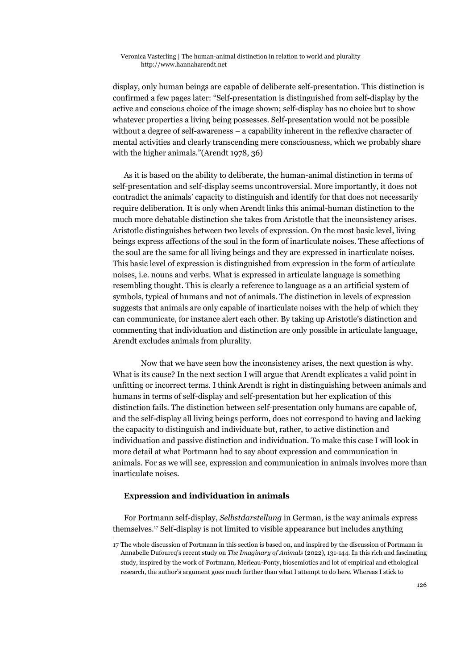display, only human beings are capable of deliberate self-presentation. This distinction is confirmed a few pages later: "Self-presentation is distinguished from self-display by the active and conscious choice of the image shown; self-display has no choice but to show whatever properties a living being possesses. Self-presentation would not be possible without a degree of self-awareness – a capability inherent in the reflexive character of mental activities and clearly transcending mere consciousness, which we probably share with the higher animals."(Arendt 1978, 36)

As it is based on the ability to deliberate, the human-animal distinction in terms of self-presentation and self-display seems uncontroversial. More importantly, it does not contradict the animals' capacity to distinguish and identify for that does not necessarily require deliberation. It is only when Arendt links this animal-human distinction to the much more debatable distinction she takes from Aristotle that the inconsistency arises. Aristotle distinguishes between two levels of expression. On the most basic level, living beings express affections of the soul in the form of inarticulate noises. These affections of the soul are the same for all living beings and they are expressed in inarticulate noises. This basic level of expression is distinguished from expression in the form of articulate noises, i.e. nouns and verbs. What is expressed in articulate language is something resembling thought. This is clearly a reference to language as a an artificial system of symbols, typical of humans and not of animals. The distinction in levels of expression suggests that animals are only capable of inarticulate noises with the help of which they can communicate, for instance alert each other. By taking up Aristotle's distinction and commenting that individuation and distinction are only possible in articulate language, Arendt excludes animals from plurality.

Now that we have seen how the inconsistency arises, the next question is why. What is its cause? In the next section I will argue that Arendt explicates a valid point in unfitting or incorrect terms. I think Arendt is right in distinguishing between animals and humans in terms of self-display and self-presentation but her explication of this distinction fails. The distinction between self-presentation only humans are capable of, and the self-display all living beings perform, does not correspond to having and lacking the capacity to distinguish and individuate but, rather, to active distinction and individuation and passive distinction and individuation. To make this case I will look in more detail at what Portmann had to say about expression and communication in animals. For as we will see, expression and communication in animals involves more than inarticulate noises.

## **Expression and individuation in animals**

For Portmann self-display, *Selbstdarstellung* in German, is the way animals express themselves.[17](#page-11-0) Self-display is not limited to visible appearance but includes anything

<span id="page-11-0"></span><sup>17</sup> The whole discussion of Portmann in this section is based on, and inspired by the discussion of Portmann in Annabelle Dufourcq's recent study on *The Imaginary of Animals* (2022), 131-144. In this rich and fascinating study, inspired by the work of Portmann, Merleau-Ponty, biosemiotics and lot of empirical and ethological research, the author's argument goes much further than what I attempt to do here. Whereas I stick to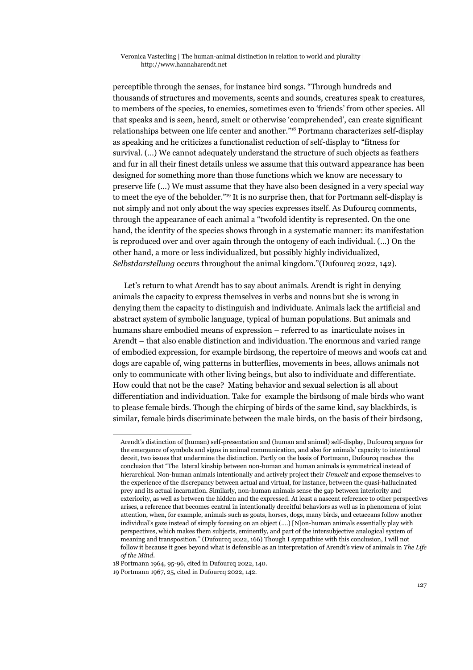perceptible through the senses, for instance bird songs. "Through hundreds and thousands of structures and movements, scents and sounds, creatures speak to creatures, to members of the species, to enemies, sometimes even to 'friends' from other species. All that speaks and is seen, heard, smelt or otherwise 'comprehended', can create significant relationships between one life center and another."[18](#page-12-0) Portmann characterizes self-display as speaking and he criticizes a functionalist reduction of self-display to "fitness for survival. (…) We cannot adequately understand the structure of such objects as feathers and fur in all their finest details unless we assume that this outward appearance has been designed for something more than those functions which we know are necessary to preserve life (…) We must assume that they have also been designed in a very special way to meet the eye of the beholder."[19](#page-12-1) It is no surprise then, that for Portmann self-display is not simply and not only about the way species expresses itself. As Dufourcq comments, through the appearance of each animal a "twofold identity is represented. On the one hand, the identity of the species shows through in a systematic manner: its manifestation is reproduced over and over again through the ontogeny of each individual. (…) On the other hand, a more or less individualized, but possibly highly individualized, *Selbstdarstellung* occurs throughout the animal kingdom."(Dufourcq 2022, 142).

Let's return to what Arendt has to say about animals. Arendt is right in denying animals the capacity to express themselves in verbs and nouns but she is wrong in denying them the capacity to distinguish and individuate. Animals lack the artificial and abstract system of symbolic language, typical of human populations. But animals and humans share embodied means of expression – referred to as inarticulate noises in Arendt – that also enable distinction and individuation. The enormous and varied range of embodied expression, for example birdsong, the repertoire of meows and woofs cat and dogs are capable of, wing patterns in butterflies, movements in bees, allows animals not only to communicate with other living beings, but also to individuate and differentiate. How could that not be the case? Mating behavior and sexual selection is all about differentiation and individuation. Take for example the birdsong of male birds who want to please female birds. Though the chirping of birds of the same kind, say blackbirds, is similar, female birds discriminate between the male birds, on the basis of their birdsong,

Arendt's distinction of (human) self-presentation and (human and animal) self-display, Dufourcq argues for the emergence of symbols and signs in animal communication, and also for animals' capacity to intentional deceit, two issues that undermine the distinction. Partly on the basis of Portmann, Dufourcq reaches the conclusion that "The lateral kinship between non-human and human animals is symmetrical instead of hierarchical. Non-human animals intentionally and actively project their *Umwelt* and expose themselves to the experience of the discrepancy between actual and virtual, for instance, between the quasi-hallucinated prey and its actual incarnation. Similarly, non-human animals sense the gap between interiority and exteriority, as well as between the hidden and the expressed. At least a nascent reference to other perspectives arises, a reference that becomes central in intentionally deceitful behaviors as well as in phenomena of joint attention, when, for example, animals such as goats, horses, dogs, many birds, and cetaceans follow another individual's gaze instead of simply focusing on an object (….) [N]on-human animals essentially play with perspectives, which makes them subjects, eminently, and part of the intersubjective analogical system of meaning and transposition." (Dufourcq 2022, 166) Though I sympathize with this conclusion, I will not follow it because it goes beyond what is defensible as an interpretation of Arendt's view of animals in *The Life of the Mind*.

<span id="page-12-0"></span><sup>18</sup> Portmann 1964, 95-96, cited in Dufourcq 2022, 140.

<span id="page-12-1"></span><sup>19</sup> Portmann 1967, 25, cited in Dufourcq 2022, 142.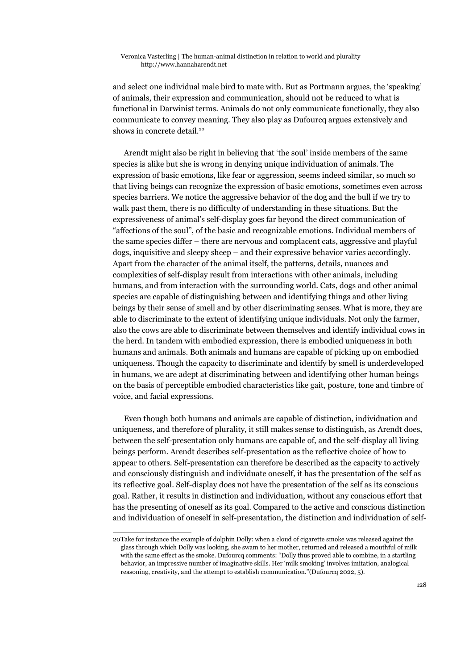and select one individual male bird to mate with. But as Portmann argues, the 'speaking' of animals, their expression and communication, should not be reduced to what is functional in Darwinist terms. Animals do not only communicate functionally, they also communicate to convey meaning. They also play as Dufourcq argues extensively and shows in concrete detail.<sup>[20](#page-13-0)</sup>

Arendt might also be right in believing that 'the soul' inside members of the same species is alike but she is wrong in denying unique individuation of animals. The expression of basic emotions, like fear or aggression, seems indeed similar, so much so that living beings can recognize the expression of basic emotions, sometimes even across species barriers. We notice the aggressive behavior of the dog and the bull if we try to walk past them, there is no difficulty of understanding in these situations. But the expressiveness of animal's self-display goes far beyond the direct communication of "affections of the soul", of the basic and recognizable emotions. Individual members of the same species differ – there are nervous and complacent cats, aggressive and playful dogs, inquisitive and sleepy sheep – and their expressive behavior varies accordingly. Apart from the character of the animal itself, the patterns, details, nuances and complexities of self-display result from interactions with other animals, including humans, and from interaction with the surrounding world. Cats, dogs and other animal species are capable of distinguishing between and identifying things and other living beings by their sense of smell and by other discriminating senses. What is more, they are able to discriminate to the extent of identifying unique individuals. Not only the farmer, also the cows are able to discriminate between themselves and identify individual cows in the herd. In tandem with embodied expression, there is embodied uniqueness in both humans and animals. Both animals and humans are capable of picking up on embodied uniqueness. Though the capacity to discriminate and identify by smell is underdeveloped in humans, we are adept at discriminating between and identifying other human beings on the basis of perceptible embodied characteristics like gait, posture, tone and timbre of voice, and facial expressions.

Even though both humans and animals are capable of distinction, individuation and uniqueness, and therefore of plurality, it still makes sense to distinguish, as Arendt does, between the self-presentation only humans are capable of, and the self-display all living beings perform. Arendt describes self-presentation as the reflective choice of how to appear to others. Self-presentation can therefore be described as the capacity to actively and consciously distinguish and individuate oneself, it has the presentation of the self as its reflective goal. Self-display does not have the presentation of the self as its conscious goal. Rather, it results in distinction and individuation, without any conscious effort that has the presenting of oneself as its goal. Compared to the active and conscious distinction and individuation of oneself in self-presentation, the distinction and individuation of self-

<span id="page-13-0"></span><sup>20</sup>Take for instance the example of dolphin Dolly: when a cloud of cigarette smoke was released against the glass through which Dolly was looking, she swam to her mother, returned and released a mouthful of milk with the same effect as the smoke. Dufourcq comments: "Dolly thus proved able to combine, in a startling behavior, an impressive number of imaginative skills. Her 'milk smoking' involves imitation, analogical reasoning, creativity, and the attempt to establish communication."(Dufourcq 2022, 5).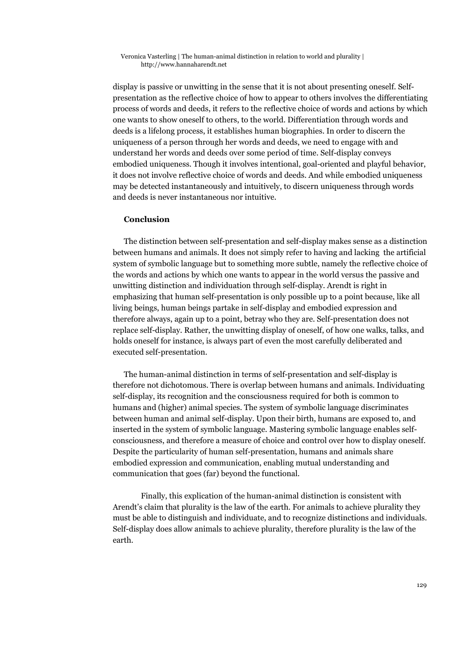display is passive or unwitting in the sense that it is not about presenting oneself. Selfpresentation as the reflective choice of how to appear to others involves the differentiating process of words and deeds, it refers to the reflective choice of words and actions by which one wants to show oneself to others, to the world. Differentiation through words and deeds is a lifelong process, it establishes human biographies. In order to discern the uniqueness of a person through her words and deeds, we need to engage with and understand her words and deeds over some period of time. Self-display conveys embodied uniqueness. Though it involves intentional, goal-oriented and playful behavior, it does not involve reflective choice of words and deeds. And while embodied uniqueness may be detected instantaneously and intuitively, to discern uniqueness through words and deeds is never instantaneous nor intuitive.

## **Conclusion**

The distinction between self-presentation and self-display makes sense as a distinction between humans and animals. It does not simply refer to having and lacking the artificial system of symbolic language but to something more subtle, namely the reflective choice of the words and actions by which one wants to appear in the world versus the passive and unwitting distinction and individuation through self-display. Arendt is right in emphasizing that human self-presentation is only possible up to a point because, like all living beings, human beings partake in self-display and embodied expression and therefore always, again up to a point, betray who they are. Self-presentation does not replace self-display. Rather, the unwitting display of oneself, of how one walks, talks, and holds oneself for instance, is always part of even the most carefully deliberated and executed self-presentation.

The human-animal distinction in terms of self-presentation and self-display is therefore not dichotomous. There is overlap between humans and animals. Individuating self-display, its recognition and the consciousness required for both is common to humans and (higher) animal species. The system of symbolic language discriminates between human and animal self-display. Upon their birth, humans are exposed to, and inserted in the system of symbolic language. Mastering symbolic language enables selfconsciousness, and therefore a measure of choice and control over how to display oneself. Despite the particularity of human self-presentation, humans and animals share embodied expression and communication, enabling mutual understanding and communication that goes (far) beyond the functional.

Finally, this explication of the human-animal distinction is consistent with Arendt's claim that plurality is the law of the earth. For animals to achieve plurality they must be able to distinguish and individuate, and to recognize distinctions and individuals. Self-display does allow animals to achieve plurality, therefore plurality is the law of the earth.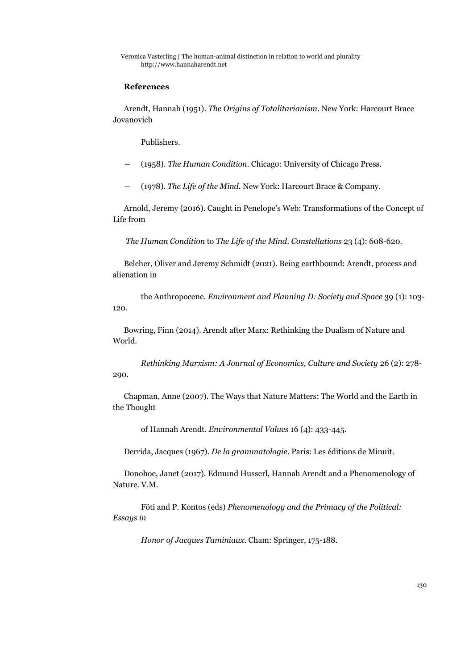## **References**

Arendt, Hannah (1951). *The Origins of Totalitarianism*. New York: Harcourt Brace Jovanovich

Publishers.

- ― (1958). *The Human Condition*. Chicago: University of Chicago Press.
- ― (1978). *The Life of the Mind.* New York: Harcourt Brace & Company.

Arnold, Jeremy (2016). Caught in Penelope's Web: Transformations of the Concept of Life from

*The Human Condition* to *The Life of the Mind*. *Constellations* 23 (4): 608-620.

Belcher, Oliver and Jeremy Schmidt (2021). Being earthbound: Arendt, process and alienation in

the Anthropocene. *Environment and Planning D: Society and Space* 39 (1): 103- 120.

Bowring, Finn (2014). Arendt after Marx: Rethinking the Dualism of Nature and World.

*Rethinking Marxism: A Journal of Economics, Culture and Society* 26 (2): 278- 290.

Chapman, Anne (2007). The Ways that Nature Matters: The World and the Earth in the Thought

of Hannah Arendt. *Environmental Values* 16 (4): 433-445.

Derrida, Jacques (1967). *De la grammatologie*. Paris: Les éditions de Minuit.

Donohoe, Janet (2017). Edmund Husserl, Hannah Arendt and a Phenomenology of Nature. V.M.

Föti and P. Kontos (eds) *Phenomenology and the Primacy of the Political: Essays in* 

*Honor of Jacques Taminiaux*. Cham: Springer, 175-188.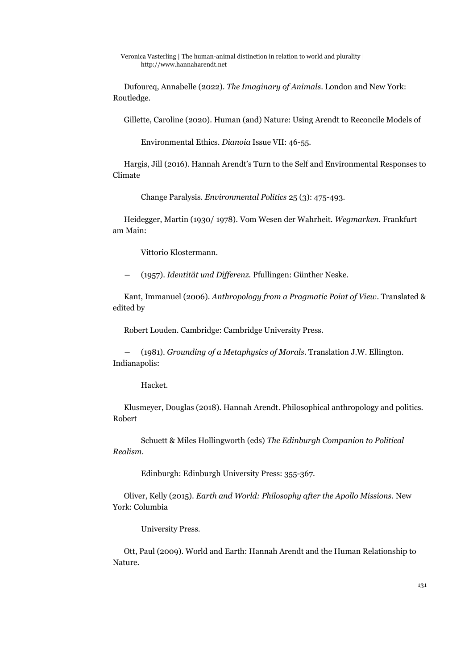Dufourcq, Annabelle (2022). *The Imaginary of Animals*. London and New York: Routledge.

Gillette, Caroline (2020). Human (and) Nature: Using Arendt to Reconcile Models of

Environmental Ethics. *Dianoia* Issue VII: 46-55.

Hargis, Jill (2016). Hannah Arendt's Turn to the Self and Environmental Responses to Climate

Change Paralysis. *Environmental Politics* 25 (3): 475-493.

Heidegger, Martin (1930/ 1978). Vom Wesen der Wahrheit. *Wegmarken*. Frankfurt am Main:

Vittorio Klostermann.

― (1957). *Identität und Differenz.* Pfullingen: Günther Neske.

Kant, Immanuel (2006). *Anthropology from a Pragmatic Point of View*. Translated & edited by

Robert Louden. Cambridge: Cambridge University Press.

― (1981). *Grounding of a Metaphysics of Morals*. Translation J.W. Ellington. Indianapolis:

Hacket.

Klusmeyer, Douglas (2018). Hannah Arendt. Philosophical anthropology and politics. Robert

Schuett & Miles Hollingworth (eds) *The Edinburgh Companion to Political Realism*.

Edinburgh: Edinburgh University Press: 355-367.

Oliver, Kelly (2015). *Earth and World: Philosophy after the Apollo Missions.* New York: Columbia

University Press.

Ott, Paul (2009). World and Earth: Hannah Arendt and the Human Relationship to Nature.